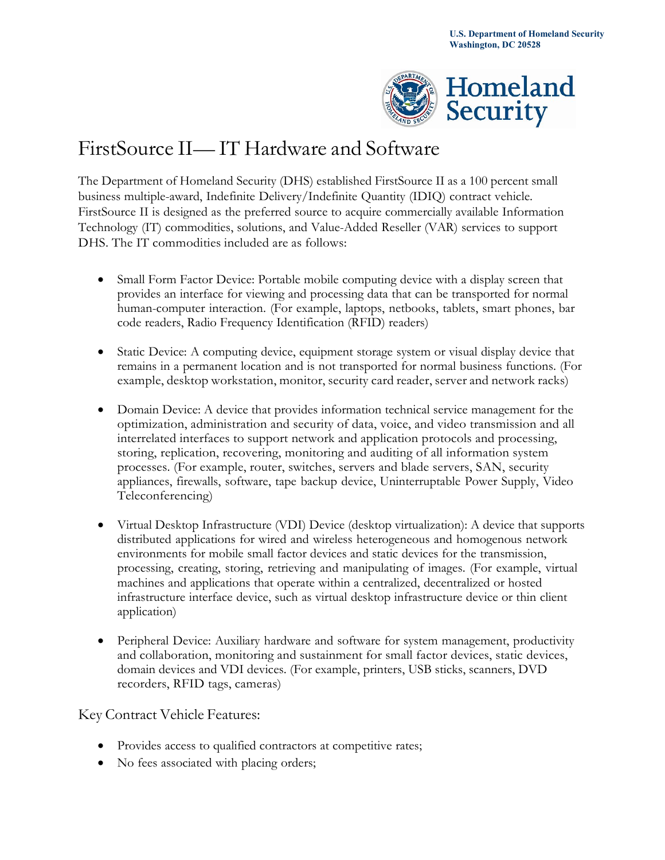

# FirstSource II— IT Hardware and Software

 The Department of Homeland Security (DHS) established FirstSource II as a 100 percent small business multiple-award, Indefinite Delivery/Indefinite Quantity (IDIQ) contract vehicle. FirstSource II is designed as the preferred source to acquire commercially available Information Technology (IT) commodities, solutions, and Value-Added Reseller (VAR) services to support DHS. The IT commodities included are as follows:

- Small Form Factor Device: Portable mobile computing device with a display screen that provides an interface for viewing and processing data that can be transported for normal human-computer interaction. (For example, laptops, netbooks, tablets, smart phones, bar code readers, Radio Frequency Identification (RFID) readers)
- Static Device: A computing device, equipment storage system or visual display device that remains in a permanent location and is not transported for normal business functions. (For example, desktop workstation, monitor, security card reader, server and network racks)
- Domain Device: A device that provides information technical service management for the optimization, administration and security of data, voice, and video transmission and all interrelated interfaces to support network and application protocols and processing, storing, replication, recovering, monitoring and auditing of all information system processes. (For example, router, switches, servers and blade servers, SAN, security appliances, firewalls, software, tape backup device, Uninterruptable Power Supply, Video Teleconferencing)
- Virtual Desktop Infrastructure (VDI) Device (desktop virtualization): A device that supports distributed applications for wired and wireless heterogeneous and homogenous network environments for mobile small factor devices and static devices for the transmission, processing, creating, storing, retrieving and manipulating of images. (For example, virtual machines and applications that operate within a centralized, decentralized or hosted infrastructure interface device, such as virtual desktop infrastructure device or thin client application)
- Peripheral Device: Auxiliary hardware and software for system management, productivity and collaboration, monitoring and sustainment for small factor devices, static devices, domain devices and VDI devices. (For example, printers, USB sticks, scanners, DVD recorders, RFID tags, cameras)

Key Contract Vehicle Features:

- Provides access to qualified contractors at competitive rates;
- No fees associated with placing orders;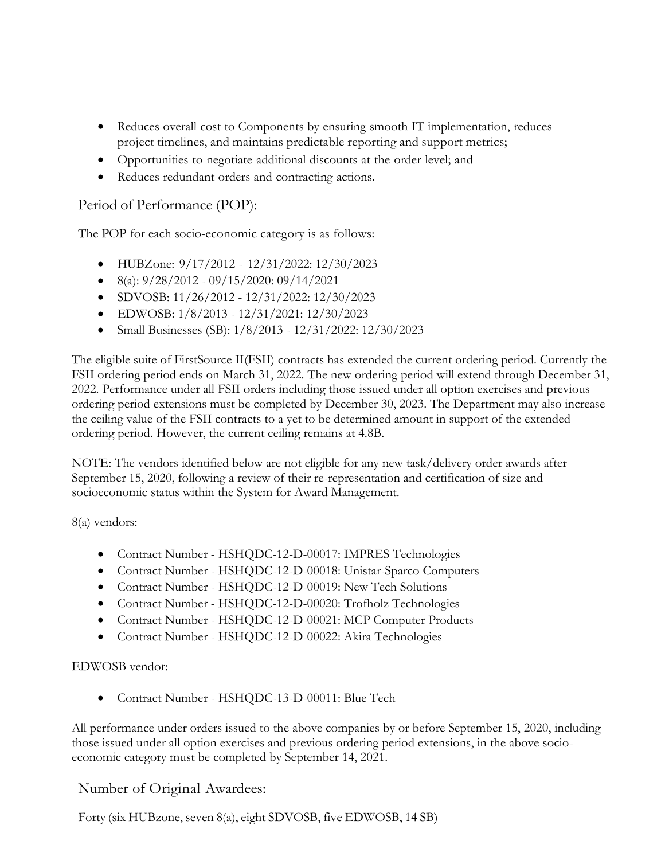- • Reduces overall cost to Components by ensuring smooth IT implementation, reduces project timelines, and maintains predictable reporting and support metrics;
- Opportunities to negotiate additional discounts at the order level; and
- Reduces redundant orders and contracting actions.

## Period of Performance (POP):

The POP for each socio-economic category is as follows:

- HUBZone: 9/17/2012 12/31/2022: 12/30/2023
- $\bullet$  8(a):  $9/28/2012 09/15/2020$ : 09/14/2021
- SDVOSB: 11/26/2012 12/31/2022: 12/30/2023
- EDWOSB: 1/8/2013 12/31/2021: 12/30/2023
- Small Businesses (SB):  $1/8/2013 12/31/2022$ :  $12/30/2023$

 FSII ordering period ends on March 31, 2022. The new ordering period will extend through December 31, 2022. Performance under all FSII orders including those issued under all option exercises and previous The eligible suite of FirstSource II(FSII) contracts has extended the current ordering period. Currently the ordering period extensions must be completed by December 30, 2023. The Department may also increase the ceiling value of the FSII contracts to a yet to be determined amount in support of the extended ordering period. However, the current ceiling remains at 4.8B.

 NOTE: The vendors identified below are not eligible for any new task/delivery order awards after September 15, 2020, following a review of their re-representation and certification of size and socioeconomic status within the System for Award Management.

8(a) vendors:

- Contract Number HSHQDC-12-D-00017: IMPRES Technologies
- Contract Number HSHQDC-12-D-00018: Unistar-Sparco Computers
- Contract Number HSHQDC-12-D-00019: New Tech Solutions
- Contract Number HSHQDC-12-D-00020: Trofholz Technologies
- Contract Number HSHQDC-12-D-00021: MCP Computer Products
- Contract Number HSHQDC-12-D-00022: Akira Technologies

### EDWOSB vendor:

• Contract Number - HSHQDC-13-D-00011: Blue Tech

 those issued under all option exercises and previous ordering period extensions, in the above socio-All performance under orders issued to the above companies by or before September 15, 2020, including economic category must be completed by September 14, 2021.

## Number of Original Awardees:

Forty (six HUBzone, seven 8(a), eight SDVOSB, five EDWOSB, 14 SB)